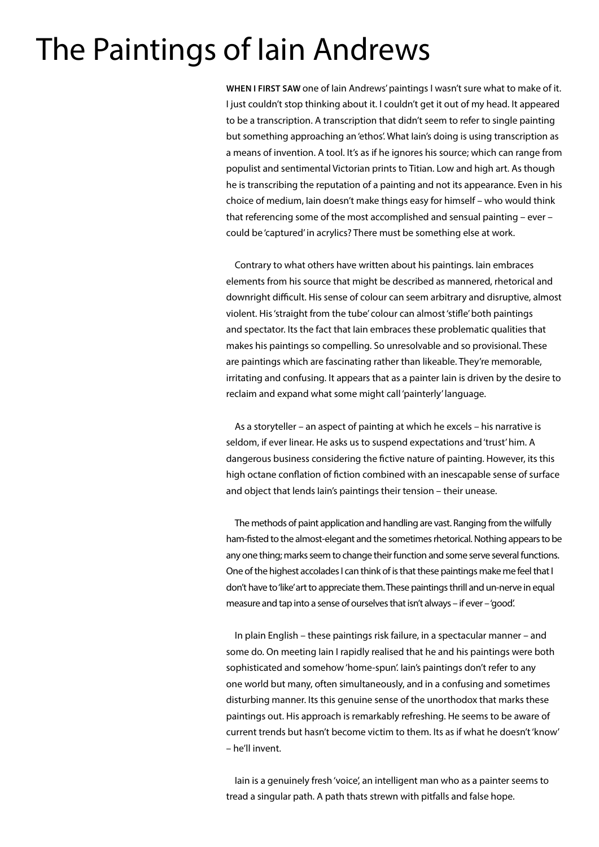## The Paintings of Iain Andrews

**WHEN I FIRST SAW** one of Iain Andrews' paintings I wasn't sure what to make of it. I just couldn't stop thinking about it. I couldn't get it out of my head. It appeared to be a transcription. A transcription that didn't seem to refer to single painting but something approaching an 'ethos'. What Iain's doing is using transcription as a means of invention. A tool. It's as if he ignores his source; which can range from populist and sentimental Victorian prints to Titian. Low and high art. As though he is transcribing the reputation of a painting and not its appearance. Even in his choice of medium, Iain doesn't make things easy for himself – who would think that referencing some of the most accomplished and sensual painting – ever – could be 'captured' in acrylics? There must be something else at work.

Contrary to what others have written about his paintings. Iain embraces elements from his source that might be described as mannered, rhetorical and downright difficult. His sense of colour can seem arbitrary and disruptive, almost violent. His 'straight from the tube' colour can almost 'stifle' both paintings and spectator. Its the fact that Iain embraces these problematic qualities that makes his paintings so compelling. So unresolvable and so provisional. These are paintings which are fascinating rather than likeable. They're memorable, irritating and confusing. It appears that as a painter Iain is driven by the desire to reclaim and expand what some might call 'painterly' language.

As a storyteller – an aspect of painting at which he excels – his narrative is seldom, if ever linear. He asks us to suspend expectations and 'trust' him. A dangerous business considering the fictive nature of painting. However, its this high octane conflation of fiction combined with an inescapable sense of surface and object that lends Iain's paintings their tension – their unease.

The methods of paint application and handling are vast. Ranging from the wilfully ham-fisted to the almost-elegant and the sometimes rhetorical. Nothing appears to be any one thing; marks seem to change their function and some serve several functions. One of the highest accolades I can think of is that these paintings make me feel that I don't have to 'like' art to appreciate them. These paintings thrill and un-nerve in equal measure and tap into a sense of ourselves that isn't always – if ever – 'good'.

In plain English – these paintings risk failure, in a spectacular manner – and some do. On meeting Iain I rapidly realised that he and his paintings were both sophisticated and somehow 'home-spun'. Iain's paintings don't refer to any one world but many, often simultaneously, and in a confusing and sometimes disturbing manner. Its this genuine sense of the unorthodox that marks these paintings out. His approach is remarkably refreshing. He seems to be aware of current trends but hasn't become victim to them. Its as if what he doesn't 'know' – he'll invent.

Iain is a genuinely fresh 'voice', an intelligent man who as a painter seems to tread a singular path. A path thats strewn with pitfalls and false hope.